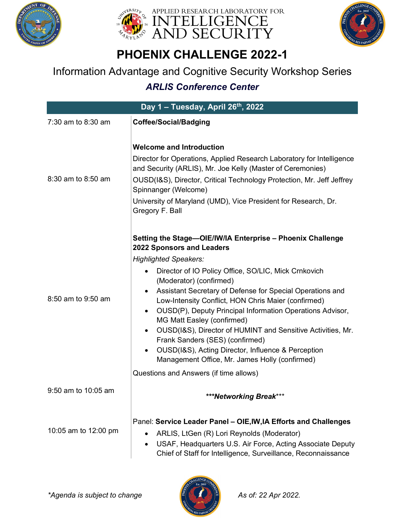





## Information Advantage and Cognitive Security Workshop Series

| Day 1 - Tuesday, April 26th, 2022 |                                                                                                                                                                                                                                                                                                                                                                                                                                                                                                                                                                                                                                                                                                                      |
|-----------------------------------|----------------------------------------------------------------------------------------------------------------------------------------------------------------------------------------------------------------------------------------------------------------------------------------------------------------------------------------------------------------------------------------------------------------------------------------------------------------------------------------------------------------------------------------------------------------------------------------------------------------------------------------------------------------------------------------------------------------------|
| 7:30 am to 8:30 am                | <b>Coffee/Social/Badging</b>                                                                                                                                                                                                                                                                                                                                                                                                                                                                                                                                                                                                                                                                                         |
| 8:30 am to 8:50 am                | <b>Welcome and Introduction</b><br>Director for Operations, Applied Research Laboratory for Intelligence<br>and Security (ARLIS), Mr. Joe Kelly (Master of Ceremonies)<br>OUSD(I&S), Director, Critical Technology Protection, Mr. Jeff Jeffrey<br>Spinnanger (Welcome)<br>University of Maryland (UMD), Vice President for Research, Dr.<br>Gregory F. Ball                                                                                                                                                                                                                                                                                                                                                         |
| 8:50 am to 9:50 am                | Setting the Stage-OIE/IW/IA Enterprise - Phoenix Challenge<br>2022 Sponsors and Leaders<br><b>Highlighted Speakers:</b><br>Director of IO Policy Office, SO/LIC, Mick Crnkovich<br>(Moderator) (confirmed)<br>Assistant Secretary of Defense for Special Operations and<br>Low-Intensity Conflict, HON Chris Maier (confirmed)<br>OUSD(P), Deputy Principal Information Operations Advisor,<br>$\bullet$<br>MG Matt Easley (confirmed)<br>OUSD(I&S), Director of HUMINT and Sensitive Activities, Mr.<br>$\bullet$<br>Frank Sanders (SES) (confirmed)<br>OUSD(I&S), Acting Director, Influence & Perception<br>$\bullet$<br>Management Office, Mr. James Holly (confirmed)<br>Questions and Answers (if time allows) |
| 9:50 am to 10:05 am               | ***Networking Break***                                                                                                                                                                                                                                                                                                                                                                                                                                                                                                                                                                                                                                                                                               |
| 10:05 am to 12:00 pm              | Panel: Service Leader Panel - OIE, IW, IA Efforts and Challenges<br>ARLIS, LtGen (R) Lori Reynolds (Moderator)<br>USAF, Headquarters U.S. Air Force, Acting Associate Deputy<br>$\bullet$<br>Chief of Staff for Intelligence, Surveillance, Reconnaissance                                                                                                                                                                                                                                                                                                                                                                                                                                                           |

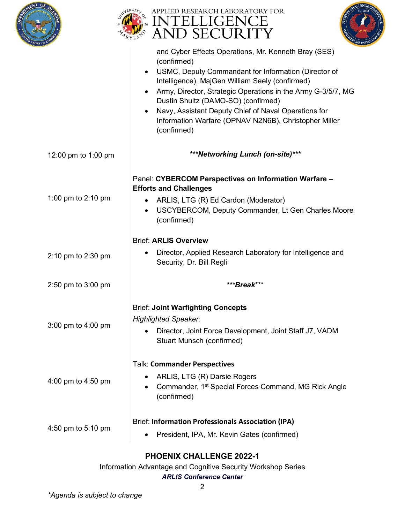





| JF AM               | $^4Rl$                                                                                                                                                                                                                                                                                                                                                                                                                                          |
|---------------------|-------------------------------------------------------------------------------------------------------------------------------------------------------------------------------------------------------------------------------------------------------------------------------------------------------------------------------------------------------------------------------------------------------------------------------------------------|
|                     | and Cyber Effects Operations, Mr. Kenneth Bray (SES)<br>(confirmed)<br>USMC, Deputy Commandant for Information (Director of<br>$\bullet$<br>Intelligence), MajGen William Seely (confirmed)<br>Army, Director, Strategic Operations in the Army G-3/5/7, MG<br>Dustin Shultz (DAMO-SO) (confirmed)<br>Navy, Assistant Deputy Chief of Naval Operations for<br>$\bullet$<br>Information Warfare (OPNAV N2N6B), Christopher Miller<br>(confirmed) |
| 12:00 pm to 1:00 pm | ***Networking Lunch (on-site)***                                                                                                                                                                                                                                                                                                                                                                                                                |
| 1:00 pm to 2:10 pm  | Panel: CYBERCOM Perspectives on Information Warfare -<br><b>Efforts and Challenges</b><br>ARLIS, LTG (R) Ed Cardon (Moderator)<br>٠<br>USCYBERCOM, Deputy Commander, Lt Gen Charles Moore<br>$\bullet$<br>(confirmed)                                                                                                                                                                                                                           |
|                     | <b>Brief: ARLIS Overview</b>                                                                                                                                                                                                                                                                                                                                                                                                                    |
| 2:10 pm to 2:30 pm  | Director, Applied Research Laboratory for Intelligence and<br>$\bullet$<br>Security, Dr. Bill Regli                                                                                                                                                                                                                                                                                                                                             |
| 2:50 pm to 3:00 pm  | ***Break***                                                                                                                                                                                                                                                                                                                                                                                                                                     |
| 3:00 pm to 4:00 pm  | <b>Brief: Joint Warfighting Concepts</b><br><b>Highlighted Speaker:</b><br>Director, Joint Force Development, Joint Staff J7, VADM<br><b>Stuart Munsch (confirmed)</b>                                                                                                                                                                                                                                                                          |
| 4:00 pm to 4:50 pm  | <b>Talk: Commander Perspectives</b><br>ARLIS, LTG (R) Darsie Rogers<br>$\bullet$<br>Commander, 1 <sup>st</sup> Special Forces Command, MG Rick Angle<br>(confirmed)                                                                                                                                                                                                                                                                             |
| 4:50 pm to 5:10 pm  | <b>Brief: Information Professionals Association (IPA)</b><br>President, IPA, Mr. Kevin Gates (confirmed)<br>$\bullet$                                                                                                                                                                                                                                                                                                                           |

Information Advantage and Cognitive Security Workshop Series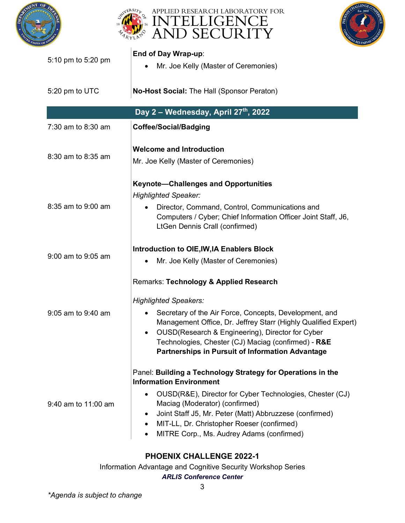





| 5:10 pm to 5:20 pm  | End of Day Wrap-up:<br>Mr. Joe Kelly (Master of Ceremonies)                                                                                                                                                                                                                                                                                                                              |
|---------------------|------------------------------------------------------------------------------------------------------------------------------------------------------------------------------------------------------------------------------------------------------------------------------------------------------------------------------------------------------------------------------------------|
| 5:20 pm to UTC      | No-Host Social: The Hall (Sponsor Peraton)                                                                                                                                                                                                                                                                                                                                               |
|                     | Day 2 - Wednesday, April 27th, 2022                                                                                                                                                                                                                                                                                                                                                      |
| 7:30 am to 8:30 am  | <b>Coffee/Social/Badging</b>                                                                                                                                                                                                                                                                                                                                                             |
| 8:30 am to 8:35 am  | <b>Welcome and Introduction</b><br>Mr. Joe Kelly (Master of Ceremonies)                                                                                                                                                                                                                                                                                                                  |
| 8:35 am to 9:00 am  | <b>Keynote-Challenges and Opportunities</b><br><b>Highlighted Speaker:</b><br>Director, Command, Control, Communications and<br>Computers / Cyber; Chief Information Officer Joint Staff, J6,<br><b>LtGen Dennis Crall (confirmed)</b>                                                                                                                                                   |
| 9:00 am to 9:05 am  | Introduction to OIE, IW, IA Enablers Block<br>Mr. Joe Kelly (Master of Ceremonies)                                                                                                                                                                                                                                                                                                       |
| 9:05 am to 9:40 am  | Remarks: Technology & Applied Research<br><b>Highlighted Speakers:</b><br>Secretary of the Air Force, Concepts, Development, and<br>$\bullet$<br>Management Office, Dr. Jeffrey Starr (Highly Qualified Expert)<br>OUSD(Research & Engineering), Director for Cyber<br>Technologies, Chester (CJ) Maciag (confirmed) - R&E<br><b>Partnerships in Pursuit of Information Advantage</b>    |
| 9:40 am to 11:00 am | Panel: Building a Technology Strategy for Operations in the<br><b>Information Environment</b><br>OUSD(R&E), Director for Cyber Technologies, Chester (CJ)<br>Maciag (Moderator) (confirmed)<br>Joint Staff J5, Mr. Peter (Matt) Abbruzzese (confirmed)<br>$\bullet$<br>MIT-LL, Dr. Christopher Roeser (confirmed)<br>$\bullet$<br>MITRE Corp., Ms. Audrey Adams (confirmed)<br>$\bullet$ |

Information Advantage and Cognitive Security Workshop Series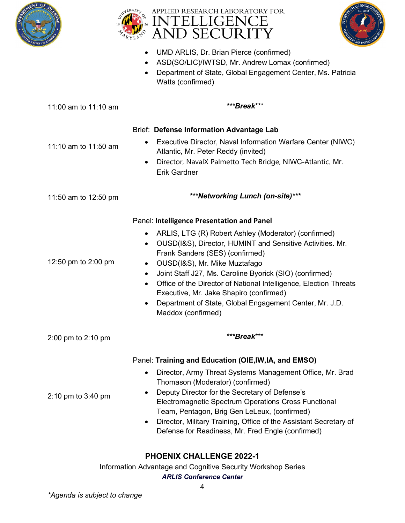





|                      | UMD ARLIS, Dr. Brian Pierce (confirmed)<br>ASD(SO/LIC)/IWTSD, Mr. Andrew Lomax (confirmed)<br>Department of State, Global Engagement Center, Ms. Patricia<br>Watts (confirmed)                                                                                                                                                                                                                                                                                                                                            |
|----------------------|---------------------------------------------------------------------------------------------------------------------------------------------------------------------------------------------------------------------------------------------------------------------------------------------------------------------------------------------------------------------------------------------------------------------------------------------------------------------------------------------------------------------------|
| 11:00 am to 11:10 am | ***Break***                                                                                                                                                                                                                                                                                                                                                                                                                                                                                                               |
|                      | <b>Brief: Defense Information Advantage Lab</b>                                                                                                                                                                                                                                                                                                                                                                                                                                                                           |
| 11:10 am to 11:50 am | Executive Director, Naval Information Warfare Center (NIWC)<br>Atlantic, Mr. Peter Reddy (invited)<br>Director, NavalX Palmetto Tech Bridge, NIWC-Atlantic, Mr.<br><b>Erik Gardner</b>                                                                                                                                                                                                                                                                                                                                    |
| 11:50 am to 12:50 pm | ***Networking Lunch (on-site)***                                                                                                                                                                                                                                                                                                                                                                                                                                                                                          |
| 12:50 pm to 2:00 pm  | Panel: Intelligence Presentation and Panel<br>ARLIS, LTG (R) Robert Ashley (Moderator) (confirmed)<br>OUSD(I&S), Director, HUMINT and Sensitive Activities. Mr.<br>Frank Sanders (SES) (confirmed)<br>OUSD(I&S), Mr. Mike Muztafago<br>$\bullet$<br>Joint Staff J27, Ms. Caroline Byorick (SIO) (confirmed)<br>$\bullet$<br>Office of the Director of National Intelligence, Election Threats<br>Executive, Mr. Jake Shapiro (confirmed)<br>Department of State, Global Engagement Center, Mr. J.D.<br>Maddox (confirmed) |
| 2:00 pm to 2:10 pm   | ***Break***                                                                                                                                                                                                                                                                                                                                                                                                                                                                                                               |
| 2:10 pm to 3:40 pm   | Panel: Training and Education (OIE, IW, IA, and EMSO)<br>Director, Army Threat Systems Management Office, Mr. Brad<br>Thomason (Moderator) (confirmed)<br>Deputy Director for the Secretary of Defense's<br>Electromagnetic Spectrum Operations Cross Functional<br>Team, Pentagon, Brig Gen LeLeux, (confirmed)<br>Director, Military Training, Office of the Assistant Secretary of<br>Defense for Readiness, Mr. Fred Engle (confirmed)                                                                                |

Information Advantage and Cognitive Security Workshop Series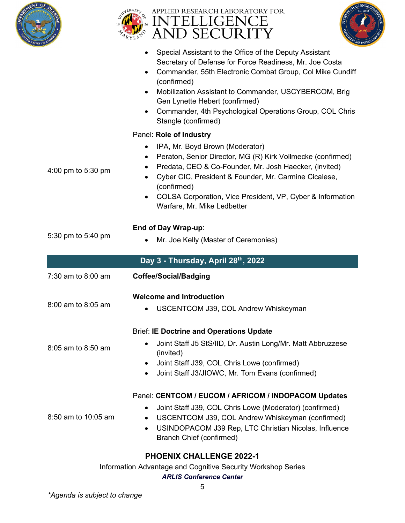





|                                    | Special Assistant to the Office of the Deputy Assistant<br>$\bullet$<br>Secretary of Defense for Force Readiness, Mr. Joe Costa<br>Commander, 55th Electronic Combat Group, Col Mike Cundiff<br>$\bullet$<br>(confirmed)<br>Mobilization Assistant to Commander, USCYBERCOM, Brig<br>$\bullet$<br>Gen Lynette Hebert (confirmed)<br>Commander, 4th Psychological Operations Group, COL Chris<br>$\bullet$<br>Stangle (confirmed) |  |
|------------------------------------|----------------------------------------------------------------------------------------------------------------------------------------------------------------------------------------------------------------------------------------------------------------------------------------------------------------------------------------------------------------------------------------------------------------------------------|--|
|                                    | Panel: Role of Industry                                                                                                                                                                                                                                                                                                                                                                                                          |  |
| 4:00 pm to 5:30 pm                 | IPA, Mr. Boyd Brown (Moderator)<br>$\bullet$<br>Peraton, Senior Director, MG (R) Kirk Vollmecke (confirmed)<br>$\bullet$<br>Predata, CEO & Co-Founder, Mr. Josh Haecker, (invited)<br>$\bullet$<br>Cyber CIC, President & Founder, Mr. Carmine Cicalese,<br>(confirmed)<br>COLSA Corporation, Vice President, VP, Cyber & Information<br>Warfare, Mr. Mike Ledbetter                                                             |  |
|                                    | End of Day Wrap-up:                                                                                                                                                                                                                                                                                                                                                                                                              |  |
| 5:30 pm to 5:40 pm                 | Mr. Joe Kelly (Master of Ceremonies)                                                                                                                                                                                                                                                                                                                                                                                             |  |
| Day 3 - Thursday, April 28th, 2022 |                                                                                                                                                                                                                                                                                                                                                                                                                                  |  |
|                                    |                                                                                                                                                                                                                                                                                                                                                                                                                                  |  |
| 7:30 am to 8:00 am                 | <b>Coffee/Social/Badging</b>                                                                                                                                                                                                                                                                                                                                                                                                     |  |
|                                    | <b>Welcome and Introduction</b>                                                                                                                                                                                                                                                                                                                                                                                                  |  |
| 8:00 am to 8:05 am                 | USCENTCOM J39, COL Andrew Whiskeyman                                                                                                                                                                                                                                                                                                                                                                                             |  |
| 8:05 am to 8:50 am                 | <b>Brief: IE Doctrine and Operations Update</b><br>Joint Staff J5 StS/IID, Dr. Austin Long/Mr. Matt Abbruzzese<br>(invited)                                                                                                                                                                                                                                                                                                      |  |
|                                    | Joint Staff J39, COL Chris Lowe (confirmed)<br>٠<br>Joint Staff J3/JIOWC, Mr. Tom Evans (confirmed)<br>$\bullet$                                                                                                                                                                                                                                                                                                                 |  |

Information Advantage and Cognitive Security Workshop Series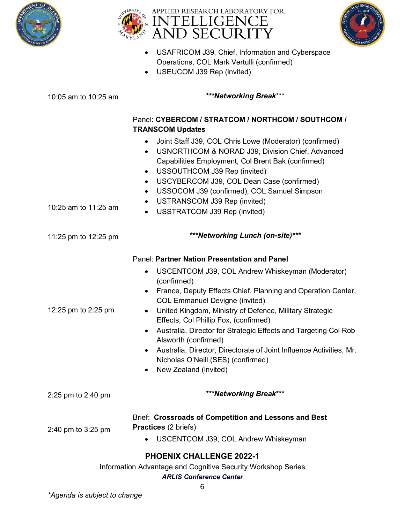





|                                 | USAFRICOM J39, Chief, Information and Cyberspace<br>$\bullet$<br>Operations, COL Mark Vertulli (confirmed)<br>USEUCOM J39 Rep (invited)<br>$\bullet$                                                                                                                                                                                                                                                                                                                                                                                                                                                              |
|---------------------------------|-------------------------------------------------------------------------------------------------------------------------------------------------------------------------------------------------------------------------------------------------------------------------------------------------------------------------------------------------------------------------------------------------------------------------------------------------------------------------------------------------------------------------------------------------------------------------------------------------------------------|
| 10:05 am to 10:25 am            | ***Networking Break***                                                                                                                                                                                                                                                                                                                                                                                                                                                                                                                                                                                            |
|                                 | Panel: CYBERCOM / STRATCOM / NORTHCOM / SOUTHCOM /<br><b>TRANSCOM Updates</b>                                                                                                                                                                                                                                                                                                                                                                                                                                                                                                                                     |
|                                 | Joint Staff J39, COL Chris Lowe (Moderator) (confirmed)<br>$\bullet$<br>USNORTHCOM & NORAD J39, Division Chief, Advanced<br>$\bullet$<br>Capabilities Employment, Col Brent Bak (confirmed)<br>USSOUTHCOM J39 Rep (invited)<br>$\bullet$<br>USCYBERCOM J39, COL Dean Case (confirmed)<br>$\bullet$<br>USSOCOM J39 (confirmed), COL Samuel Simpson<br>$\bullet$                                                                                                                                                                                                                                                    |
| 10:25 am to 11:25 am            | USTRANSCOM J39 Rep (invited)<br>$\bullet$<br>USSTRATCOM J39 Rep (invited)<br>$\bullet$                                                                                                                                                                                                                                                                                                                                                                                                                                                                                                                            |
| 11:25 pm to 12:25 pm            | ***Networking Lunch (on-site)***                                                                                                                                                                                                                                                                                                                                                                                                                                                                                                                                                                                  |
| 12:25 pm to 2:25 pm             | Panel: Partner Nation Presentation and Panel<br>USCENTCOM J39, COL Andrew Whiskeyman (Moderator)<br>$\bullet$<br>(confirmed)<br>France, Deputy Effects Chief, Planning and Operation Center,<br>$\bullet$<br><b>COL Emmanuel Devigne (invited)</b><br>United Kingdom, Ministry of Defence, Military Strategic<br>$\bullet$<br>Effects, Col Phillip Fox, (confirmed)<br>Australia, Director for Strategic Effects and Targeting Col Rob<br>$\bullet$<br>Alsworth (confirmed)<br>Australia, Director, Directorate of Joint Influence Activities, Mr.<br>Nicholas O'Neill (SES) (confirmed)<br>New Zealand (invited) |
| 2:25 pm to 2:40 pm              | ***Networking Break***                                                                                                                                                                                                                                                                                                                                                                                                                                                                                                                                                                                            |
| 2:40 pm to 3:25 pm              | Brief: Crossroads of Competition and Lessons and Best<br><b>Practices</b> (2 briefs)<br>USCENTCOM J39, COL Andrew Whiskeyman                                                                                                                                                                                                                                                                                                                                                                                                                                                                                      |
| <b>PHOENIX CHALLENGE 2022-1</b> |                                                                                                                                                                                                                                                                                                                                                                                                                                                                                                                                                                                                                   |

Information Advantage and Cognitive Security Workshop Series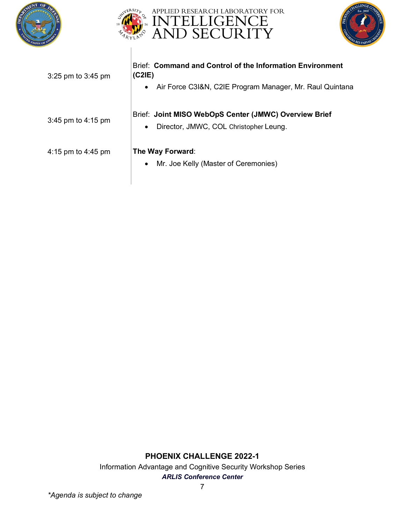





| 3:25 pm to 3:45 pm   | Brief: Command and Control of the Information Environment<br>(C2IE)<br>Air Force C3I&N, C2IE Program Manager, Mr. Raul Quintana<br>$\bullet$ |
|----------------------|----------------------------------------------------------------------------------------------------------------------------------------------|
| 3:45 pm to $4:15$ pm | Brief: Joint MISO WebOpS Center (JMWC) Overview Brief<br>Director, JMWC, COL Christopher Leung.<br>٠                                         |
| 4:15 pm to 4:45 pm   | The Way Forward:<br>Mr. Joe Kelly (Master of Ceremonies)<br>٠                                                                                |

Information Advantage and Cognitive Security Workshop Series *ARLIS Conference Center*